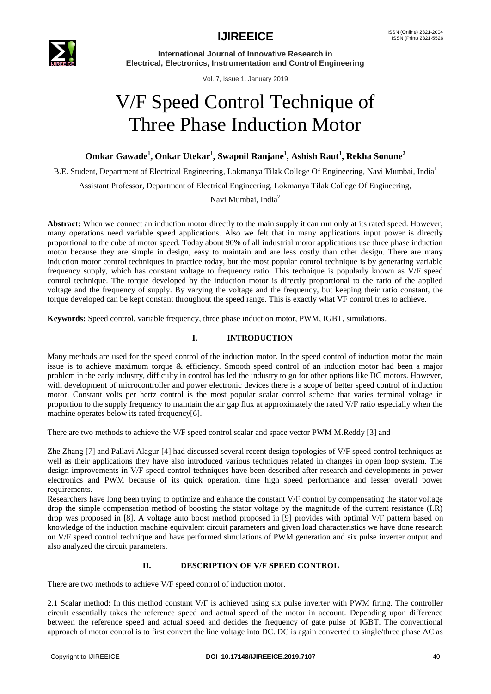

**International Journal of Innovative Research in Electrical, Electronics, Instrumentation and Control Engineering**

Vol. 7, Issue 1, January 2019

# V/F Speed Control Technique of Three Phase Induction Motor

**Omkar Gawade<sup>1</sup> , Onkar Utekar<sup>1</sup> , Swapnil Ranjane<sup>1</sup> , Ashish Raut<sup>1</sup> , Rekha Sonune<sup>2</sup>**

B.E. Student, Department of Electrical Engineering, Lokmanya Tilak College Of Engineering, Navi Mumbai, India<sup>1</sup>

Assistant Professor, Department of Electrical Engineering, Lokmanya Tilak College Of Engineering,

Navi Mumbai, India<sup>2</sup>

**Abstract:** When we connect an induction motor directly to the main supply it can run only at its rated speed. However, many operations need variable speed applications. Also we felt that in many applications input power is directly proportional to the cube of motor speed. Today about 90% of all industrial motor applications use three phase induction motor because they are simple in design, easy to maintain and are less costly than other design. There are many induction motor control techniques in practice today, but the most popular control technique is by generating variable frequency supply, which has constant voltage to frequency ratio. This technique is popularly known as V/F speed control technique. The torque developed by the induction motor is directly proportional to the ratio of the applied voltage and the frequency of supply. By varying the voltage and the frequency, but keeping their ratio constant, the torque developed can be kept constant throughout the speed range. This is exactly what VF control tries to achieve.

**Keywords:** Speed control, variable frequency, three phase induction motor, PWM, IGBT, simulations.

#### **I. INTRODUCTION**

Many methods are used for the speed control of the induction motor. In the speed control of induction motor the main issue is to achieve maximum torque & efficiency. Smooth speed control of an induction motor had been a major problem in the early industry, difficulty in control has led the industry to go for other options like DC motors. However, with development of microcontroller and power electronic devices there is a scope of better speed control of induction motor. Constant volts per hertz control is the most popular scalar control scheme that varies terminal voltage in proportion to the supply frequency to maintain the air gap flux at approximately the rated V/F ratio especially when the machine operates below its rated frequency[6].

There are two methods to achieve the V/F speed control scalar and space vector PWM M.Reddy [3] and

Zhe Zhang [7] and Pallavi Alagur [4] had discussed several recent design topologies of V/F speed control techniques as well as their applications they have also introduced various techniques related in changes in open loop system. The design improvements in V/F speed control techniques have been described after research and developments in power electronics and PWM because of its quick operation, time high speed performance and lesser overall power requirements.

Researchers have long been trying to optimize and enhance the constant V/F control by compensating the stator voltage drop the simple compensation method of boosting the stator voltage by the magnitude of the current resistance (I.R) drop was proposed in [8]. A voltage auto boost method proposed in [9] provides with optimal V/F pattern based on knowledge of the induction machine equivalent circuit parameters and given load characteristics we have done research on V/F speed control technique and have performed simulations of PWM generation and six pulse inverter output and also analyzed the circuit parameters.

### **II. DESCRIPTION OF V/F SPEED CONTROL**

There are two methods to achieve V/F speed control of induction motor.

2.1 Scalar method: In this method constant V/F is achieved using six pulse inverter with PWM firing. The controller circuit essentially takes the reference speed and actual speed of the motor in account. Depending upon difference between the reference speed and actual speed and decides the frequency of gate pulse of IGBT. The conventional approach of motor control is to first convert the line voltage into DC. DC is again converted to single/three phase AC as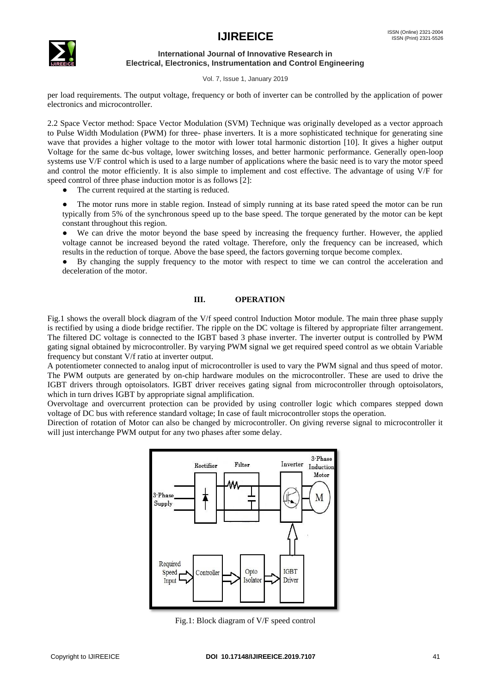## **IJIREEICE** ISSN (Online) 2321-2004



**International Journal of Innovative Research in Electrical, Electronics, Instrumentation and Control Engineering**

Vol. 7, Issue 1, January 2019

per load requirements. The output voltage, frequency or both of inverter can be controlled by the application of power electronics and microcontroller.

2.2 Space Vector method: Space Vector Modulation (SVM) Technique was originally developed as a vector approach to Pulse Width Modulation (PWM) for three- phase inverters. It is a more sophisticated technique for generating sine wave that provides a higher voltage to the motor with lower total harmonic distortion [10]. It gives a higher output Voltage for the same dc-bus voltage, lower switching losses, and better harmonic performance. Generally open-loop systems use V/F control which is used to a large number of applications where the basic need is to vary the motor speed and control the motor efficiently. It is also simple to implement and cost effective. The advantage of using V/F for speed control of three phase induction motor is as follows [2]:

The current required at the starting is reduced.

The motor runs more in stable region. Instead of simply running at its base rated speed the motor can be run typically from 5% of the synchronous speed up to the base speed. The torque generated by the motor can be kept constant throughout this region.

● We can drive the motor beyond the base speed by increasing the frequency further. However, the applied voltage cannot be increased beyond the rated voltage. Therefore, only the frequency can be increased, which results in the reduction of torque. Above the base speed, the factors governing torque become complex.

By changing the supply frequency to the motor with respect to time we can control the acceleration and deceleration of the motor.

#### **III. OPERATION**

Fig.1 shows the overall block diagram of the V/f speed control Induction Motor module. The main three phase supply is rectified by using a diode bridge rectifier. The ripple on the DC voltage is filtered by appropriate filter arrangement. The filtered DC voltage is connected to the IGBT based 3 phase inverter. The inverter output is controlled by PWM gating signal obtained by microcontroller. By varying PWM signal we get required speed control as we obtain Variable frequency but constant V/f ratio at inverter output.

A potentiometer connected to analog input of microcontroller is used to vary the PWM signal and thus speed of motor. The PWM outputs are generated by on-chip hardware modules on the microcontroller. These are used to drive the IGBT drivers through optoisolators. IGBT driver receives gating signal from microcontroller through optoisolators, which in turn drives IGBT by appropriate signal amplification.

Overvoltage and overcurrent protection can be provided by using controller logic which compares stepped down voltage of DC bus with reference standard voltage; In case of fault microcontroller stops the operation.

Direction of rotation of Motor can also be changed by microcontroller. On giving reverse signal to microcontroller it will just interchange PWM output for any two phases after some delay.



Fig.1: Block diagram of V/F speed control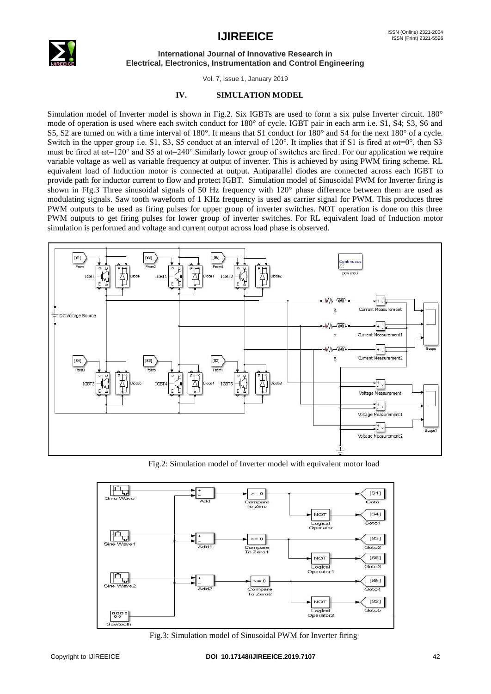

#### **International Journal of Innovative Research in Electrical, Electronics, Instrumentation and Control Engineering**

Vol. 7, Issue 1, January 2019

#### **IV. SIMULATION MODEL**

Simulation model of Inverter model is shown in Fig.2. Six IGBTs are used to form a six pulse Inverter circuit. 180° mode of operation is used where each switch conduct for 180° of cycle. IGBT pair in each arm i.e. S1, S4; S3, S6 and S5, S2 are turned on with a time interval of 180°. It means that S1 conduct for 180° and S4 for the next 180° of a cycle. Switch in the upper group i.e. S1, S3, S5 conduct at an interval of  $120^{\circ}$ . It implies that if S1 is fired at  $\omega t = 0^{\circ}$ , then S3 must be fired at  $\omega t = 120^\circ$  and S5 at  $\omega t = 240^\circ$ . Similarly lower group of switches are fired. For our application we require variable voltage as well as variable frequency at output of inverter. This is achieved by using PWM firing scheme. RL equivalent load of Induction motor is connected at output. Antiparallel diodes are connected across each IGBT to provide path for inductor current to flow and protect IGBT. Simulation model of Sinusoidal PWM for Inverter firing is shown in FIg.3 Three sinusoidal signals of 50 Hz frequency with 120° phase difference between them are used as modulating signals. Saw tooth waveform of 1 KHz frequency is used as carrier signal for PWM. This produces three PWM outputs to be used as firing pulses for upper group of inverter switches. NOT operation is done on this three PWM outputs to get firing pulses for lower group of inverter switches. For RL equivalent load of Induction motor simulation is performed and voltage and current output across load phase is observed.



Fig.2: Simulation model of Inverter model with equivalent motor load



Fig.3: Simulation model of Sinusoidal PWM for Inverter firing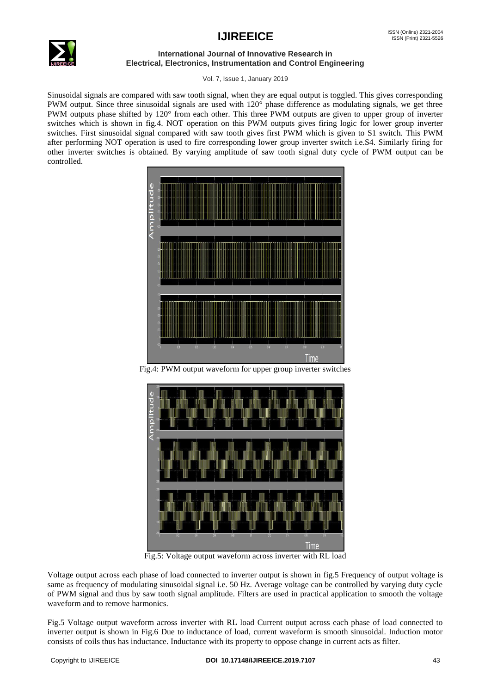# **IJIREEICE** ISSN (Online) 2321-2004



#### **International Journal of Innovative Research in Electrical, Electronics, Instrumentation and Control Engineering**

Vol. 7, Issue 1, January 2019

Sinusoidal signals are compared with saw tooth signal, when they are equal output is toggled. This gives corresponding PWM output. Since three sinusoidal signals are used with 120° phase difference as modulating signals, we get three PWM outputs phase shifted by 120° from each other. This three PWM outputs are given to upper group of inverter switches which is shown in fig.4. NOT operation on this PWM outputs gives firing logic for lower group inverter switches. First sinusoidal signal compared with saw tooth gives first PWM which is given to S1 switch. This PWM after performing NOT operation is used to fire corresponding lower group inverter switch i.e.S4. Similarly firing for other inverter switches is obtained. By varying amplitude of saw tooth signal duty cycle of PWM output can be controlled.



Fig.4: PWM output waveform for upper group inverter switches



Fig.5: Voltage output waveform across inverter with RL load

Voltage output across each phase of load connected to inverter output is shown in fig.5 Frequency of output voltage is same as frequency of modulating sinusoidal signal i.e. 50 Hz. Average voltage can be controlled by varying duty cycle of PWM signal and thus by saw tooth signal amplitude. Filters are used in practical application to smooth the voltage waveform and to remove harmonics.

Fig.5 Voltage output waveform across inverter with RL load Current output across each phase of load connected to inverter output is shown in Fig.6 Due to inductance of load, current waveform is smooth sinusoidal. Induction motor consists of coils thus has inductance. Inductance with its property to oppose change in current acts as filter.